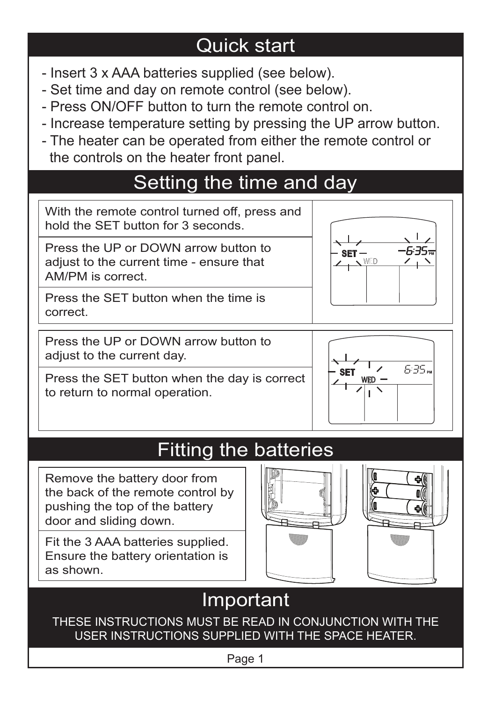## Quick start

- Insert 3 x AAA batteries supplied (see below).
- Set time and day on remote control (see below).
- Press ON/OFF button to turn the remote control on.
- Increase temperature setting by pressing the UP arrow button.
- The heater can be operated from either the remote control or the controls on the heater front panel.

## Setting the time and day



to return to normal operation.



# **Fitting the batteries**

Remove the battery door from the back of the remote control by pushing the top of the battery door and sliding down.

Fit the 3 AAA batteries supplied. Ensure the battery orientation is as shown.





# Important

THESE INSTRUCTIONS MUST BE READ IN CONJUNCTION WITH THE USER INSTRUCTIONS SUPPLIED WITH THE SPACE HEATER.

Page 1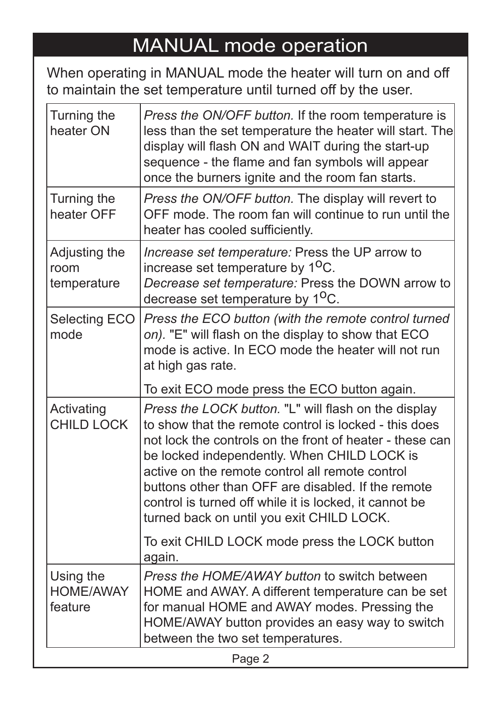## MANUAL mode operation

When operating in MANUAL mode the heater will turn on and off to maintain the set temperature until turned off by the user.

| Turning the<br>heater ON                 | Press the ON/OFF button. If the room temperature is<br>less than the set temperature the heater will start. The<br>display will flash ON and WAIT during the start-up<br>sequence - the flame and fan symbols will appear<br>once the burners ignite and the room fan starts.                                                                                                                                                            |
|------------------------------------------|------------------------------------------------------------------------------------------------------------------------------------------------------------------------------------------------------------------------------------------------------------------------------------------------------------------------------------------------------------------------------------------------------------------------------------------|
| Turning the<br>heater OFF                | Press the ON/OFF button. The display will revert to<br>OFF mode. The room fan will continue to run until the<br>heater has cooled sufficiently.                                                                                                                                                                                                                                                                                          |
| Adjusting the<br>room<br>temperature     | Increase set temperature: Press the UP arrow to<br>increase set temperature by 1 <sup>o</sup> C.<br>Decrease set temperature: Press the DOWN arrow to<br>decrease set temperature by 1 <sup>o</sup> C.                                                                                                                                                                                                                                   |
| Selecting ECO<br>mode                    | Press the ECO button (with the remote control turned<br>on). "E" will flash on the display to show that ECO<br>mode is active. In ECO mode the heater will not run<br>at high gas rate.                                                                                                                                                                                                                                                  |
|                                          | To exit ECO mode press the ECO button again.                                                                                                                                                                                                                                                                                                                                                                                             |
| Activating<br><b>CHILD LOCK</b>          | Press the LOCK button. "L" will flash on the display<br>to show that the remote control is locked - this does<br>not lock the controls on the front of heater - these can<br>be locked independently. When CHILD LOCK is<br>active on the remote control all remote control<br>buttons other than OFF are disabled. If the remote<br>control is turned off while it is locked, it cannot be<br>turned back on until you exit CHILD LOCK. |
|                                          | To exit CHILD LOCK mode press the LOCK button<br>again.                                                                                                                                                                                                                                                                                                                                                                                  |
| Using the<br><b>HOME/AWAY</b><br>feature | Press the HOME/AWAY button to switch between<br>HOME and AWAY. A different temperature can be set<br>for manual HOME and AWAY modes. Pressing the<br>HOME/AWAY button provides an easy way to switch<br>between the two set temperatures.                                                                                                                                                                                                |
|                                          | Page 2                                                                                                                                                                                                                                                                                                                                                                                                                                   |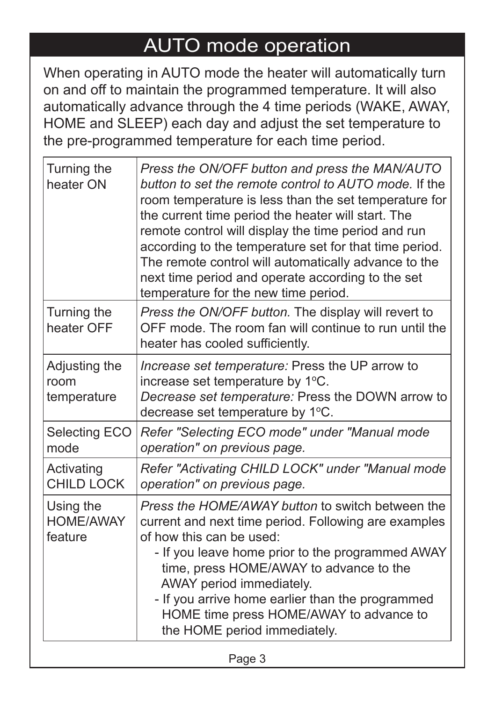### AUTO mode operation

When operating in AUTO mode the heater will automatically turn on and off to maintain the programmed temperature. It will also automatically advance through the 4 time periods (WAKE, AWAY, HOME and SLEEP) each day and adjust the set temperature to the pre-programmed temperature for each time period.

| Turning the<br>heater ON                 | Press the ON/OFF button and press the MAN/AUTO<br>button to set the remote control to AUTO mode. If the<br>room temperature is less than the set temperature for<br>the current time period the heater will start. The<br>remote control will display the time period and run<br>according to the temperature set for that time period.<br>The remote control will automatically advance to the<br>next time period and operate according to the set<br>temperature for the new time period. |  |
|------------------------------------------|----------------------------------------------------------------------------------------------------------------------------------------------------------------------------------------------------------------------------------------------------------------------------------------------------------------------------------------------------------------------------------------------------------------------------------------------------------------------------------------------|--|
| Turning the<br>heater OFF                | Press the ON/OFF button. The display will revert to<br>OFF mode. The room fan will continue to run until the<br>heater has cooled sufficiently.                                                                                                                                                                                                                                                                                                                                              |  |
| Adjusting the<br>room<br>temperature     | Increase set temperature: Press the UP arrow to<br>increase set temperature by 1°C.<br>Decrease set temperature: Press the DOWN arrow to<br>decrease set temperature by 1°C.                                                                                                                                                                                                                                                                                                                 |  |
| Selecting ECO<br>mode                    | Refer "Selecting ECO mode" under "Manual mode<br>operation" on previous page.                                                                                                                                                                                                                                                                                                                                                                                                                |  |
| Activating<br><b>CHILD LOCK</b>          | Refer "Activating CHILD LOCK" under "Manual mode<br>operation" on previous page.                                                                                                                                                                                                                                                                                                                                                                                                             |  |
| Using the<br><b>HOME/AWAY</b><br>feature | Press the HOME/AWAY button to switch between the<br>current and next time period. Following are examples<br>of how this can be used:<br>- If you leave home prior to the programmed AWAY<br>time, press HOME/AWAY to advance to the<br>AWAY period immediately.<br>- If you arrive home earlier than the programmed<br>HOME time press HOME/AWAY to advance to<br>the HOME period immediately.                                                                                               |  |
| Page 3                                   |                                                                                                                                                                                                                                                                                                                                                                                                                                                                                              |  |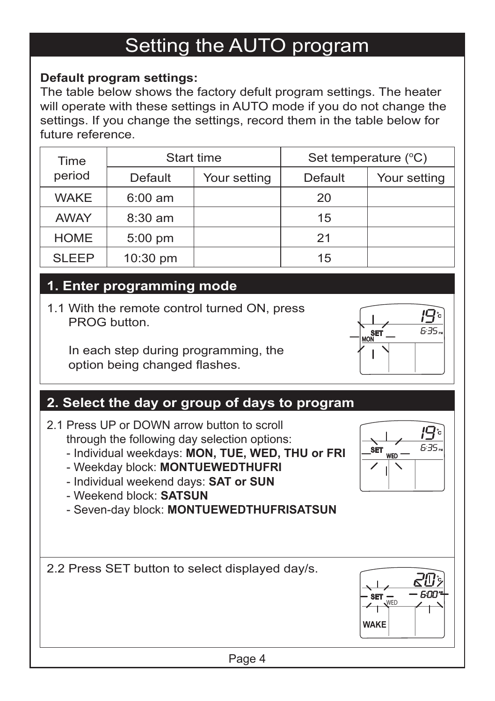### Setting the AUTO program

#### **Default program settings:**

The table below shows the factory defult program settings. The heater will operate with these settings in AUTO mode if you do not change the settings. If you change the settings, record them in the table below for future reference.

| Time        | Start time        |              | Set temperature (°C) |              |
|-------------|-------------------|--------------|----------------------|--------------|
| period      | Default           | Your setting | Default              | Your setting |
| <b>WAKE</b> | $6:00 \text{ am}$ |              | 20                   |              |
| <b>AWAY</b> | $8:30 \text{ am}$ |              | 15                   |              |
| <b>HOME</b> | $5:00$ pm         |              | 21                   |              |
| SI FFP      | 10:30 pm          |              | 15                   |              |

#### **1. Enter programming mode**

1.1 With the remote control turned ON, press PROG button.

 In each step during programming, the option being changed flashes.

#### **2. Select the day or group of days to program**

- 2.1 Press UP or DOWN arrow button to scroll through the following day selection options:
	- Individual weekdays: **MON, TUE, WED, THU or FRI**
	- Weekday block: **MONTUEWEDTHUFRI**
	- Individual weekend days: **SAT or SUN**
	- Weekend block: **SATSUN**
	- Seven-day block: **MONTUEWEDTHUFRISATSUN**

2.2 Press SET button to select displayed day/s.



#### Page 4



**WED SET**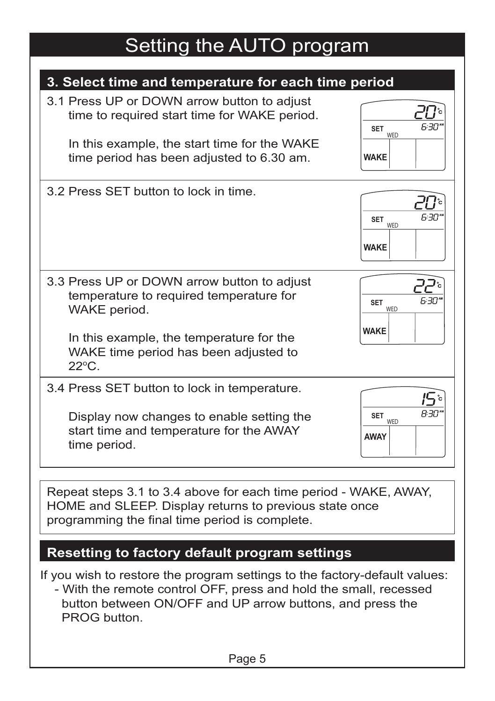### Setting the AUTO program

| 3. Select time and temperature for each time period                                                                                                                                                            |                                             |
|----------------------------------------------------------------------------------------------------------------------------------------------------------------------------------------------------------------|---------------------------------------------|
| 3.1 Press UP or DOWN arrow button to adjust<br>time to required start time for WAKE period.<br>In this example, the start time for the WAKE<br>time period has been adjusted to 6.30 am.                       | 6:30*<br><b>SET</b><br>WED<br><b>WAKE</b>   |
| 3.2 Press SET button to lock in time.                                                                                                                                                                          | 'רור ה<br><b>SET</b><br>WED<br><b>WAKE</b>  |
| 3.3 Press UP or DOWN arrow button to adjust<br>temperature to required temperature for<br>WAKE period.<br>In this example, the temperature for the<br>WAKE time period has been adjusted to<br>$22^{\circ}$ C. | ∘קק<br>6:30*<br>SET<br>WED<br><b>WAKE</b>   |
| 3.4 Press SET button to lock in temperature.<br>Display now changes to enable setting the<br>start time and temperature for the AWAY<br>time period.                                                           | י <i>ים</i> ∺B<br>SET<br>WED<br><b>AWAY</b> |
| Repeat steps 3.1 to 3.4 above for each time period - WAKE, AWAY,<br>HOME and SLEEP. Display returns to previous state once<br>programming the final time period is complete.                                   |                                             |
| Resetting to factory default program settings                                                                                                                                                                  |                                             |
| If you wish to restore the program settings to the factory-default values:                                                                                                                                     |                                             |

 - With the remote control OFF, press and hold the small, recessed button between ON/OFF and UP arrow buttons, and press the PROG button.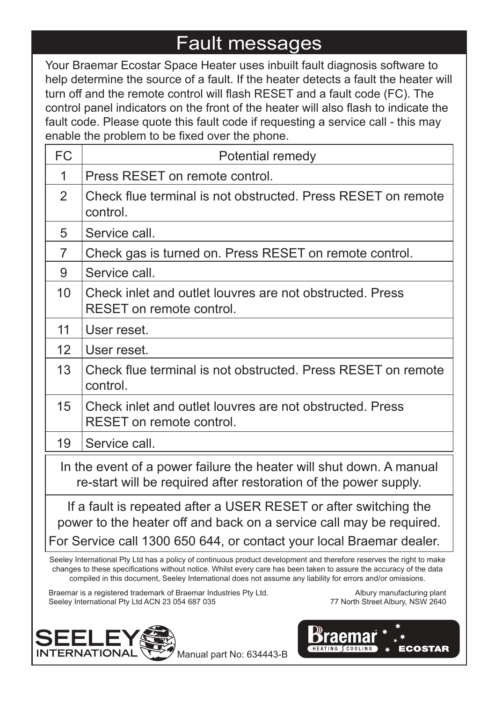### Fault messages

Your Braemar Ecostar Space Heater uses inbuilt fault diagnosis software to help determine the source of a fault. If the heater detects a fault the heater will turn off and the remote control will flash RESET and a fault code (FC). The control panel indicators on the front of the heater will also flash to indicate the fault code. Please quote this fault code if requesting a service call - this may enable the problem to be fixed over the phone.

| <b>FC</b>                                                                                                                                                                                                       | Potential remedy                                                                     |  |
|-----------------------------------------------------------------------------------------------------------------------------------------------------------------------------------------------------------------|--------------------------------------------------------------------------------------|--|
| 1                                                                                                                                                                                                               | Press RESET on remote control.                                                       |  |
| $\mathcal{P}$                                                                                                                                                                                                   | Check flue terminal is not obstructed. Press RESET on remote<br>control.             |  |
| 5                                                                                                                                                                                                               | Service call.                                                                        |  |
| $\overline{7}$                                                                                                                                                                                                  | Check gas is turned on. Press RESET on remote control.                               |  |
| 9                                                                                                                                                                                                               | Service call.                                                                        |  |
| 10 <sup>1</sup>                                                                                                                                                                                                 | Check inlet and outlet louvres are not obstructed. Press<br>RESET on remote control. |  |
| 11                                                                                                                                                                                                              | User reset.                                                                          |  |
| 12                                                                                                                                                                                                              | User reset.                                                                          |  |
| 13                                                                                                                                                                                                              | Check flue terminal is not obstructed. Press RESET on remote<br>control.             |  |
| 15                                                                                                                                                                                                              | Check inlet and outlet louvres are not obstructed. Press<br>RESET on remote control. |  |
| 19                                                                                                                                                                                                              | Service call.                                                                        |  |
| In the event of a power failure the heater will shut down. A manual<br>re-start will be required after restoration of the power supply.                                                                         |                                                                                      |  |
| If a fault is repeated after a USER RESET or after switching the<br>power to the heater off and back on a service call may be required.<br>For Service call 1300 650 644, or contact your local Braemar dealer. |                                                                                      |  |

Seeley International Pty Ltd has a policy of continuous product development and therefore reserves the right to make changes to these specifications without notice. Whilst every care has been taken to assure the accuracy of the data compiled in this document, Seeley International does not assume any liability for errors and/or omissions.

Braemar is a registered trademark of Braemar Industries Pty Ltd. Seeley International Pty Ltd ACN 23 054 687 035



**ECOSTAR** 

HEATING SCOOLING



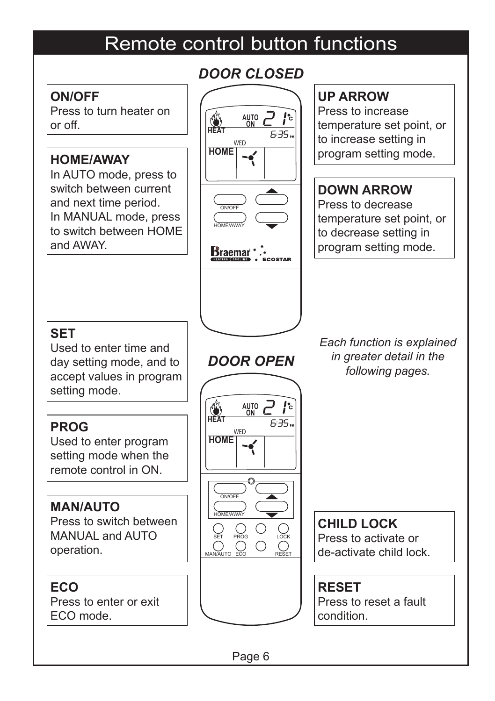### Remote control button functions

#### **ON/OFF**

Press to turn heater on  $\alpha$ r off

### **HOME/AWAY**

In AUTO mode, press to switch between current and next time period. In MANUAL mode, press to switch between HOME and AWAY.

### *DOOR CLOSED*



### **UP ARROW**

Press to increase temperature set point, or to increase setting in program setting mode.

#### **DOWN ARROW**

Press to decrease temperature set point, or to decrease setting in program setting mode.

### **SET**

Used to enter time and day setting mode, and to accept values in program setting mode.

### **PROG**

Used to enter program setting mode when the remote control in ON.

#### **MAN/AUTO**

Press to switch between MANUAL and AUTO operation.

#### **ECO** Press to enter or exit ECO mode.



*DOOR OPEN*

*Each function is explained in greater detail in the following pages.*

**CHILD LOCK** Press to activate or de-activate child lock.

### **RESET**

Press to reset a fault condition.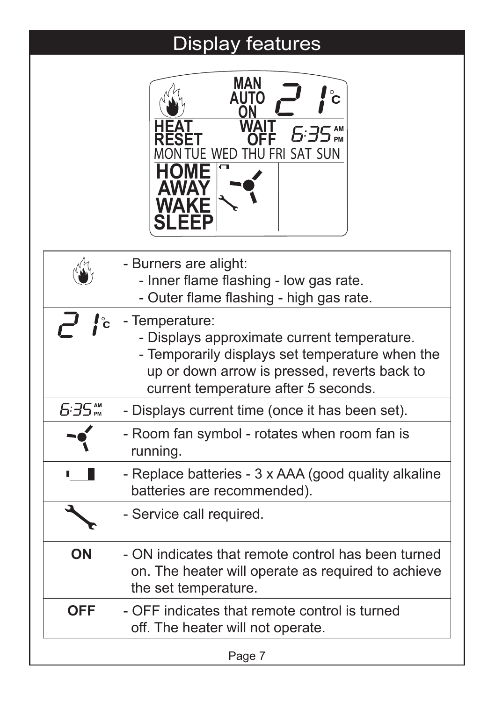# Display features

|              | MAN<br>£:35™<br>JE WED THU FRI SAT SUN                                                                                                                                                                   |
|--------------|----------------------------------------------------------------------------------------------------------------------------------------------------------------------------------------------------------|
|              | - Burners are alight:<br>- Inner flame flashing - low gas rate.<br>- Outer flame flashing - high gas rate.                                                                                               |
| $\mathbf{c}$ | - Temperature:<br>- Displays approximate current temperature.<br>- Temporarily displays set temperature when the<br>up or down arrow is pressed, reverts back to<br>current temperature after 5 seconds. |
|              | - Displays current time (once it has been set).                                                                                                                                                          |
|              | - Room fan symbol - rotates when room fan is<br>running.                                                                                                                                                 |
|              | - Replace batteries - 3 x AAA (good quality alkaline<br>batteries are recommended).                                                                                                                      |
|              | - Service call required.                                                                                                                                                                                 |
| ON           | - ON indicates that remote control has been turned<br>on. The heater will operate as required to achieve<br>the set temperature.                                                                         |
| <b>OFF</b>   | - OFF indicates that remote control is turned                                                                                                                                                            |

off. The heater will not operate.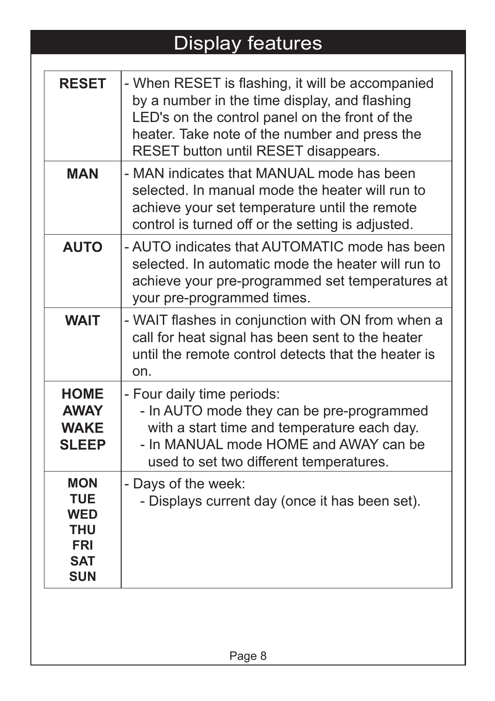# Display features

| <b>RESET</b>                                                                            | - When RESET is flashing, it will be accompanied<br>by a number in the time display, and flashing<br>LED's on the control panel on the front of the<br>heater. Take note of the number and press the<br>RESET button until RESET disappears. |
|-----------------------------------------------------------------------------------------|----------------------------------------------------------------------------------------------------------------------------------------------------------------------------------------------------------------------------------------------|
| <b>MAN</b>                                                                              | - MAN indicates that MANUAL mode has been<br>selected. In manual mode the heater will run to<br>achieve your set temperature until the remote<br>control is turned off or the setting is adjusted.                                           |
| <b>AUTO</b>                                                                             | - AUTO indicates that AUTOMATIC mode has been<br>selected. In automatic mode the heater will run to<br>achieve your pre-programmed set temperatures at<br>your pre-programmed times.                                                         |
| <b>WAIT</b>                                                                             | - WAIT flashes in conjunction with ON from when a<br>call for heat signal has been sent to the heater<br>until the remote control detects that the heater is<br>on.                                                                          |
| <b>HOME</b><br><b>AWAY</b><br><b>WAKE</b><br><b>SLEEP</b>                               | - Four daily time periods:<br>- In AUTO mode they can be pre-programmed<br>with a start time and temperature each day.<br>- In MANUAL mode HOME and AWAY can be<br>used to set two different temperatures.                                   |
| <b>MON</b><br><b>TUE</b><br><b>WED</b><br>THU<br><b>FRI</b><br><b>SAT</b><br><b>SUN</b> | - Days of the week:<br>- Displays current day (once it has been set).                                                                                                                                                                        |